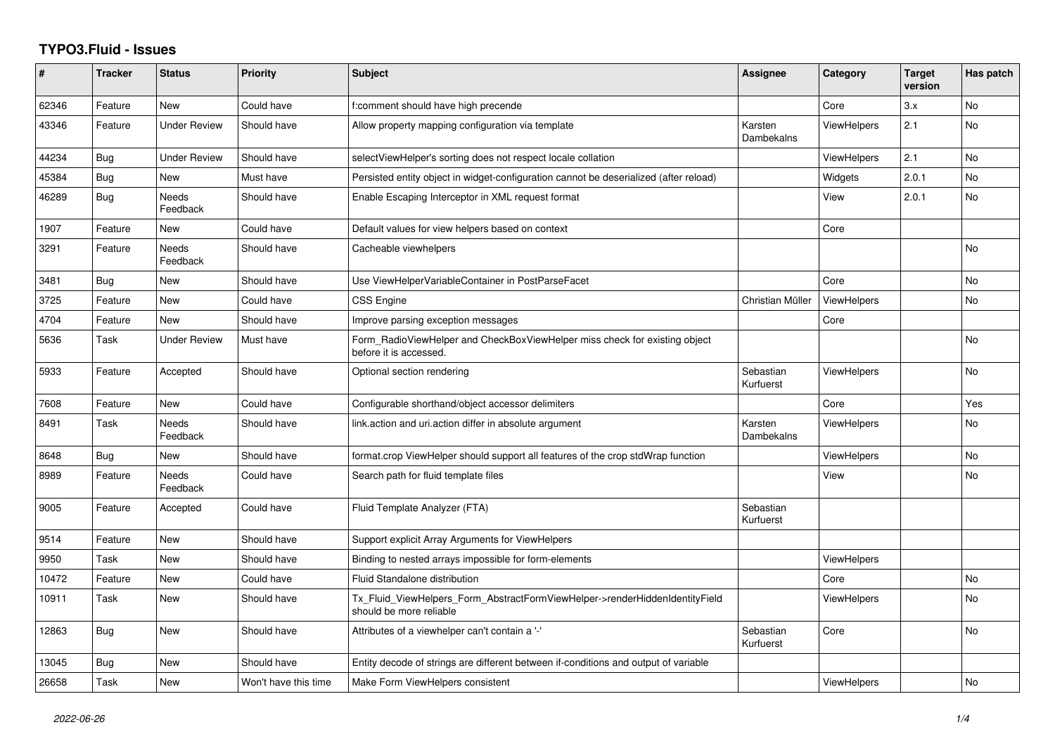## **TYPO3.Fluid - Issues**

| #     | <b>Tracker</b> | <b>Status</b>            | <b>Priority</b>      | <b>Subject</b>                                                                                         | Assignee               | Category           | <b>Target</b><br>version | Has patch |
|-------|----------------|--------------------------|----------------------|--------------------------------------------------------------------------------------------------------|------------------------|--------------------|--------------------------|-----------|
| 62346 | Feature        | <b>New</b>               | Could have           | f:comment should have high precende                                                                    |                        | Core               | 3.x                      | <b>No</b> |
| 43346 | Feature        | Under Review             | Should have          | Allow property mapping configuration via template                                                      | Karsten<br>Dambekalns  | <b>ViewHelpers</b> | 2.1                      | No        |
| 44234 | <b>Bug</b>     | <b>Under Review</b>      | Should have          | selectViewHelper's sorting does not respect locale collation                                           |                        | <b>ViewHelpers</b> | 2.1                      | No        |
| 45384 | Bug            | <b>New</b>               | Must have            | Persisted entity object in widget-configuration cannot be deserialized (after reload)                  |                        | Widgets            | 2.0.1                    | <b>No</b> |
| 46289 | <b>Bug</b>     | <b>Needs</b><br>Feedback | Should have          | Enable Escaping Interceptor in XML request format                                                      |                        | View               | 2.0.1                    | <b>No</b> |
| 1907  | Feature        | New                      | Could have           | Default values for view helpers based on context                                                       |                        | Core               |                          |           |
| 3291  | Feature        | Needs<br>Feedback        | Should have          | Cacheable viewhelpers                                                                                  |                        |                    |                          | <b>No</b> |
| 3481  | <b>Bug</b>     | New                      | Should have          | Use ViewHelperVariableContainer in PostParseFacet                                                      |                        | Core               |                          | No        |
| 3725  | Feature        | New                      | Could have           | <b>CSS Engine</b>                                                                                      | Christian Müller       | <b>ViewHelpers</b> |                          | No        |
| 4704  | Feature        | New                      | Should have          | Improve parsing exception messages                                                                     |                        | Core               |                          |           |
| 5636  | Task           | <b>Under Review</b>      | Must have            | Form RadioViewHelper and CheckBoxViewHelper miss check for existing object<br>before it is accessed.   |                        |                    |                          | No        |
| 5933  | Feature        | Accepted                 | Should have          | Optional section rendering                                                                             | Sebastian<br>Kurfuerst | <b>ViewHelpers</b> |                          | <b>No</b> |
| 7608  | Feature        | New                      | Could have           | Configurable shorthand/object accessor delimiters                                                      |                        | Core               |                          | Yes       |
| 8491  | Task           | <b>Needs</b><br>Feedback | Should have          | link.action and uri.action differ in absolute argument                                                 | Karsten<br>Dambekalns  | <b>ViewHelpers</b> |                          | No        |
| 8648  | <b>Bug</b>     | New                      | Should have          | format.crop ViewHelper should support all features of the crop stdWrap function                        |                        | <b>ViewHelpers</b> |                          | No        |
| 8989  | Feature        | Needs<br>Feedback        | Could have           | Search path for fluid template files                                                                   |                        | View               |                          | <b>No</b> |
| 9005  | Feature        | Accepted                 | Could have           | Fluid Template Analyzer (FTA)                                                                          | Sebastian<br>Kurfuerst |                    |                          |           |
| 9514  | Feature        | <b>New</b>               | Should have          | Support explicit Array Arguments for ViewHelpers                                                       |                        |                    |                          |           |
| 9950  | Task           | New                      | Should have          | Binding to nested arrays impossible for form-elements                                                  |                        | <b>ViewHelpers</b> |                          |           |
| 10472 | Feature        | New                      | Could have           | Fluid Standalone distribution                                                                          |                        | Core               |                          | No        |
| 10911 | Task           | New                      | Should have          | Tx_Fluid_ViewHelpers_Form_AbstractFormViewHelper->renderHiddenIdentityField<br>should be more reliable |                        | <b>ViewHelpers</b> |                          | No        |
| 12863 | Bug            | New                      | Should have          | Attributes of a viewhelper can't contain a '-'                                                         | Sebastian<br>Kurfuerst | Core               |                          | <b>No</b> |
| 13045 | Bug            | New                      | Should have          | Entity decode of strings are different between if-conditions and output of variable                    |                        |                    |                          |           |
| 26658 | Task           | New                      | Won't have this time | Make Form ViewHelpers consistent                                                                       |                        | <b>ViewHelpers</b> |                          | No        |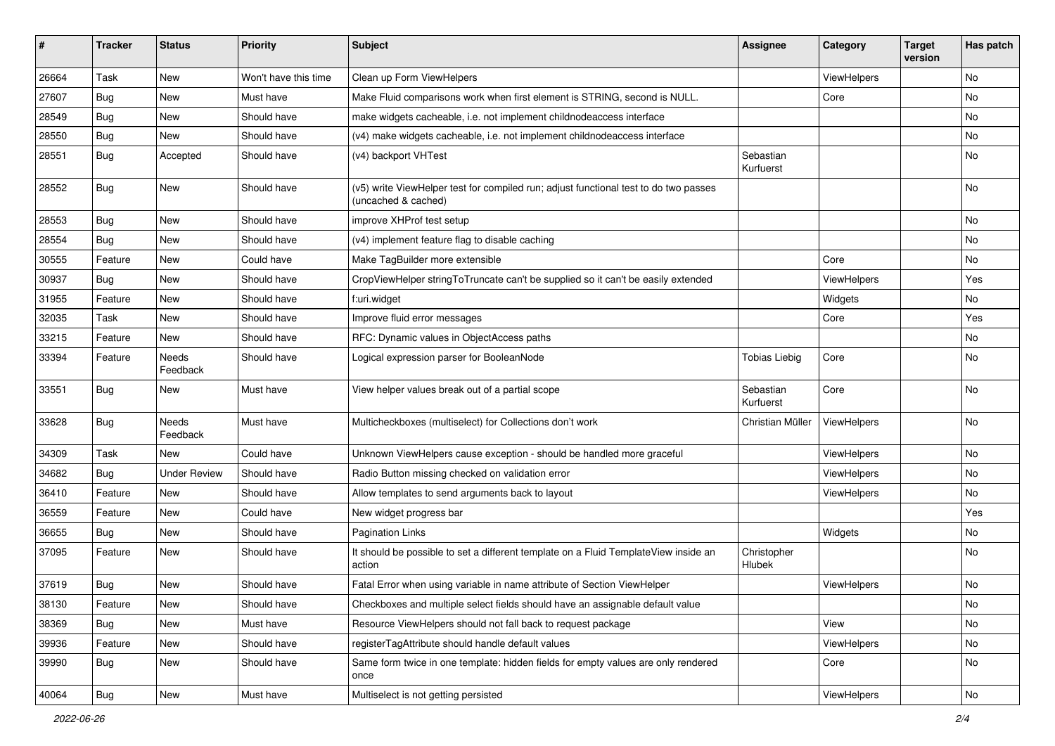| #     | <b>Tracker</b> | <b>Status</b>            | Priority             | Subject                                                                                                     | <b>Assignee</b>        | Category    | <b>Target</b><br>version | Has patch |
|-------|----------------|--------------------------|----------------------|-------------------------------------------------------------------------------------------------------------|------------------------|-------------|--------------------------|-----------|
| 26664 | Task           | New                      | Won't have this time | Clean up Form ViewHelpers                                                                                   |                        | ViewHelpers |                          | <b>No</b> |
| 27607 | Bug            | New                      | Must have            | Make Fluid comparisons work when first element is STRING, second is NULL.                                   |                        | Core        |                          | No        |
| 28549 | Bug            | New                      | Should have          | make widgets cacheable, i.e. not implement childnodeaccess interface                                        |                        |             |                          | No        |
| 28550 | Bug            | <b>New</b>               | Should have          | (v4) make widgets cacheable, i.e. not implement childnodeaccess interface                                   |                        |             |                          | <b>No</b> |
| 28551 | Bug            | Accepted                 | Should have          | (v4) backport VHTest                                                                                        | Sebastian<br>Kurfuerst |             |                          | No        |
| 28552 | Bug            | New                      | Should have          | (v5) write ViewHelper test for compiled run; adjust functional test to do two passes<br>(uncached & cached) |                        |             |                          | No        |
| 28553 | Bug            | <b>New</b>               | Should have          | improve XHProf test setup                                                                                   |                        |             |                          | <b>No</b> |
| 28554 | Bug            | New                      | Should have          | (v4) implement feature flag to disable caching                                                              |                        |             |                          | No        |
| 30555 | Feature        | New                      | Could have           | Make TagBuilder more extensible                                                                             |                        | Core        |                          | No        |
| 30937 | Bug            | New                      | Should have          | CropViewHelper stringToTruncate can't be supplied so it can't be easily extended                            |                        | ViewHelpers |                          | Yes       |
| 31955 | Feature        | New                      | Should have          | f:uri.widget                                                                                                |                        | Widgets     |                          | No        |
| 32035 | Task           | New                      | Should have          | Improve fluid error messages                                                                                |                        | Core        |                          | Yes       |
| 33215 | Feature        | New                      | Should have          | RFC: Dynamic values in ObjectAccess paths                                                                   |                        |             |                          | No        |
| 33394 | Feature        | Needs<br>Feedback        | Should have          | Logical expression parser for BooleanNode                                                                   | <b>Tobias Liebig</b>   | Core        |                          | <b>No</b> |
| 33551 | Bug            | New                      | Must have            | View helper values break out of a partial scope                                                             | Sebastian<br>Kurfuerst | Core        |                          | <b>No</b> |
| 33628 | Bug            | <b>Needs</b><br>Feedback | Must have            | Multicheckboxes (multiselect) for Collections don't work                                                    | Christian Müller       | ViewHelpers |                          | <b>No</b> |
| 34309 | Task           | New                      | Could have           | Unknown ViewHelpers cause exception - should be handled more graceful                                       |                        | ViewHelpers |                          | No        |
| 34682 | Bug            | <b>Under Review</b>      | Should have          | Radio Button missing checked on validation error                                                            |                        | ViewHelpers |                          | No        |
| 36410 | Feature        | New                      | Should have          | Allow templates to send arguments back to layout                                                            |                        | ViewHelpers |                          | No        |
| 36559 | Feature        | New                      | Could have           | New widget progress bar                                                                                     |                        |             |                          | Yes       |
| 36655 | Bug            | New                      | Should have          | <b>Pagination Links</b>                                                                                     |                        | Widgets     |                          | No        |
| 37095 | Feature        | New                      | Should have          | It should be possible to set a different template on a Fluid TemplateView inside an<br>action               | Christopher<br>Hlubek  |             |                          | <b>No</b> |
| 37619 | Bug            | New                      | Should have          | Fatal Error when using variable in name attribute of Section ViewHelper                                     |                        | ViewHelpers |                          | No        |
| 38130 | Feature        | New                      | Should have          | Checkboxes and multiple select fields should have an assignable default value                               |                        |             |                          | No        |
| 38369 | Bug            | New                      | Must have            | Resource ViewHelpers should not fall back to request package                                                |                        | View        |                          | No        |
| 39936 | Feature        | New                      | Should have          | registerTagAttribute should handle default values                                                           |                        | ViewHelpers |                          | No        |
| 39990 | <b>Bug</b>     | New                      | Should have          | Same form twice in one template: hidden fields for empty values are only rendered<br>once                   |                        | Core        |                          | No        |
| 40064 | Bug            | New                      | Must have            | Multiselect is not getting persisted                                                                        |                        | ViewHelpers |                          | No        |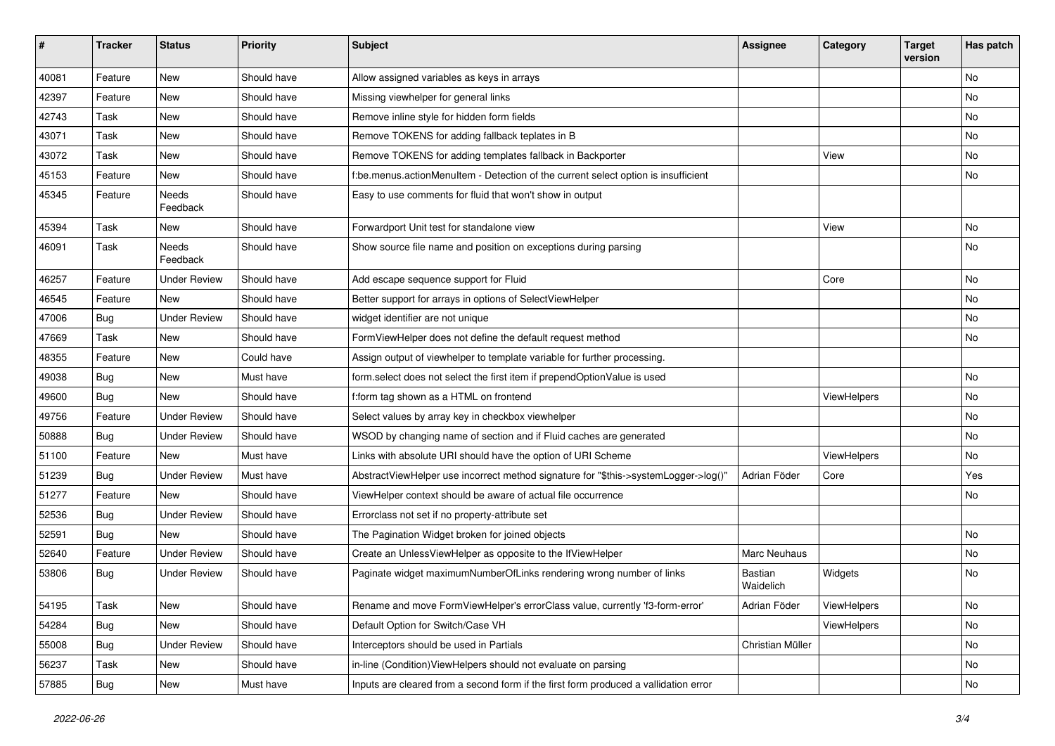| ∦     | <b>Tracker</b> | <b>Status</b>       | Priority    | Subject                                                                              | <b>Assignee</b>      | Category    | <b>Target</b><br>version | Has patch |
|-------|----------------|---------------------|-------------|--------------------------------------------------------------------------------------|----------------------|-------------|--------------------------|-----------|
| 40081 | Feature        | New                 | Should have | Allow assigned variables as keys in arrays                                           |                      |             |                          | <b>No</b> |
| 42397 | Feature        | New                 | Should have | Missing viewhelper for general links                                                 |                      |             |                          | No        |
| 42743 | Task           | New                 | Should have | Remove inline style for hidden form fields                                           |                      |             |                          | No        |
| 43071 | Task           | New                 | Should have | Remove TOKENS for adding fallback teplates in B                                      |                      |             |                          | <b>No</b> |
| 43072 | Task           | New                 | Should have | Remove TOKENS for adding templates fallback in Backporter                            |                      | View        |                          | No        |
| 45153 | Feature        | <b>New</b>          | Should have | f:be.menus.actionMenuItem - Detection of the current select option is insufficient   |                      |             |                          | No        |
| 45345 | Feature        | Needs<br>Feedback   | Should have | Easy to use comments for fluid that won't show in output                             |                      |             |                          |           |
| 45394 | Task           | New                 | Should have | Forwardport Unit test for standalone view                                            |                      | View        |                          | No        |
| 46091 | Task           | Needs<br>Feedback   | Should have | Show source file name and position on exceptions during parsing                      |                      |             |                          | <b>No</b> |
| 46257 | Feature        | <b>Under Review</b> | Should have | Add escape sequence support for Fluid                                                |                      | Core        |                          | <b>No</b> |
| 46545 | Feature        | New                 | Should have | Better support for arrays in options of SelectViewHelper                             |                      |             |                          | No        |
| 47006 | Bug            | <b>Under Review</b> | Should have | widget identifier are not unique                                                     |                      |             |                          | No        |
| 47669 | Task           | New                 | Should have | FormViewHelper does not define the default request method                            |                      |             |                          | No        |
| 48355 | Feature        | New                 | Could have  | Assign output of viewhelper to template variable for further processing.             |                      |             |                          |           |
| 49038 | Bug            | New                 | Must have   | form.select does not select the first item if prependOptionValue is used             |                      |             |                          | No        |
| 49600 | Bug            | <b>New</b>          | Should have | f:form tag shown as a HTML on frontend                                               |                      | ViewHelpers |                          | No        |
| 49756 | Feature        | <b>Under Review</b> | Should have | Select values by array key in checkbox viewhelper                                    |                      |             |                          | No        |
| 50888 | Bug            | <b>Under Review</b> | Should have | WSOD by changing name of section and if Fluid caches are generated                   |                      |             |                          | No        |
| 51100 | Feature        | New                 | Must have   | Links with absolute URI should have the option of URI Scheme                         |                      | ViewHelpers |                          | No        |
| 51239 | Bug            | <b>Under Review</b> | Must have   | AbstractViewHelper use incorrect method signature for "\$this->systemLogger->log()"  | Adrian Föder         | Core        |                          | Yes       |
| 51277 | Feature        | New                 | Should have | ViewHelper context should be aware of actual file occurrence                         |                      |             |                          | No        |
| 52536 | Bug            | <b>Under Review</b> | Should have | Errorclass not set if no property-attribute set                                      |                      |             |                          |           |
| 52591 | Bug            | <b>New</b>          | Should have | The Pagination Widget broken for joined objects                                      |                      |             |                          | <b>No</b> |
| 52640 | Feature        | <b>Under Review</b> | Should have | Create an UnlessViewHelper as opposite to the IfViewHelper                           | Marc Neuhaus         |             |                          | No        |
| 53806 | Bug            | <b>Under Review</b> | Should have | Paginate widget maximumNumberOfLinks rendering wrong number of links                 | Bastian<br>Waidelich | Widgets     |                          | <b>No</b> |
| 54195 | Task           | New                 | Should have | Rename and move FormViewHelper's errorClass value, currently 'f3-form-error'         | Adrian Föder         | ViewHelpers |                          | No        |
| 54284 | Bug            | New                 | Should have | Default Option for Switch/Case VH                                                    |                      | ViewHelpers |                          | No        |
| 55008 | Bug            | <b>Under Review</b> | Should have | Interceptors should be used in Partials                                              | Christian Müller     |             |                          | No        |
| 56237 | Task           | New                 | Should have | in-line (Condition) View Helpers should not evaluate on parsing                      |                      |             |                          | No        |
| 57885 | <b>Bug</b>     | New                 | Must have   | Inputs are cleared from a second form if the first form produced a vallidation error |                      |             |                          | No        |